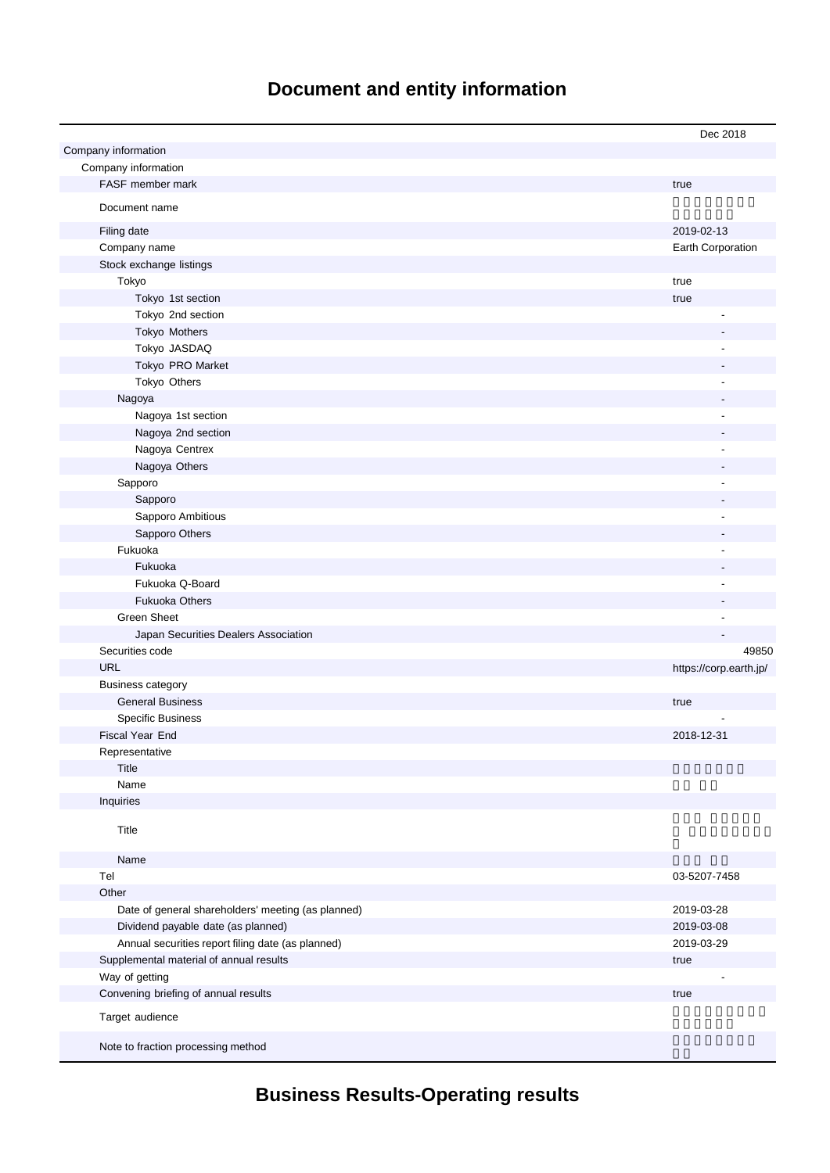# **Document and entity information**

|                                                    | Dec 2018               |
|----------------------------------------------------|------------------------|
| Company information                                |                        |
| Company information                                |                        |
| FASF member mark                                   | true                   |
| Document name                                      |                        |
|                                                    |                        |
| Filing date                                        | 2019-02-13             |
| Company name                                       | Earth Corporation      |
| Stock exchange listings                            |                        |
| Tokyo                                              | true                   |
| Tokyo 1st section                                  | true                   |
| Tokyo 2nd section                                  |                        |
| Tokyo Mothers                                      |                        |
| Tokyo JASDAQ                                       |                        |
| Tokyo PRO Market                                   |                        |
| Tokyo Others                                       |                        |
| Nagoya                                             |                        |
| Nagoya 1st section                                 |                        |
| Nagoya 2nd section                                 |                        |
| Nagoya Centrex                                     |                        |
| Nagoya Others                                      |                        |
| Sapporo                                            |                        |
| Sapporo                                            |                        |
| Sapporo Ambitious                                  |                        |
| Sapporo Others<br>Fukuoka                          |                        |
| Fukuoka                                            |                        |
| Fukuoka Q-Board                                    |                        |
| <b>Fukuoka Others</b>                              |                        |
| <b>Green Sheet</b>                                 |                        |
| Japan Securities Dealers Association               |                        |
| Securities code                                    | 49850                  |
| <b>URL</b>                                         | https://corp.earth.jp/ |
| <b>Business category</b>                           |                        |
| <b>General Business</b>                            | true                   |
| <b>Specific Business</b>                           |                        |
| Fiscal Year End                                    | 2018-12-31             |
| Representative                                     |                        |
| Title                                              |                        |
| Name                                               |                        |
| Inquiries                                          |                        |
| Title                                              |                        |
| Name                                               |                        |
| Tel                                                | 03-5207-7458           |
| Other                                              |                        |
| Date of general shareholders' meeting (as planned) | 2019-03-28             |
| Dividend payable date (as planned)                 | 2019-03-08             |
| Annual securities report filing date (as planned)  | 2019-03-29             |
| Supplemental material of annual results            | true                   |
| Way of getting                                     |                        |
| Convening briefing of annual results               | true                   |
| Target audience                                    |                        |
| Note to fraction processing method                 |                        |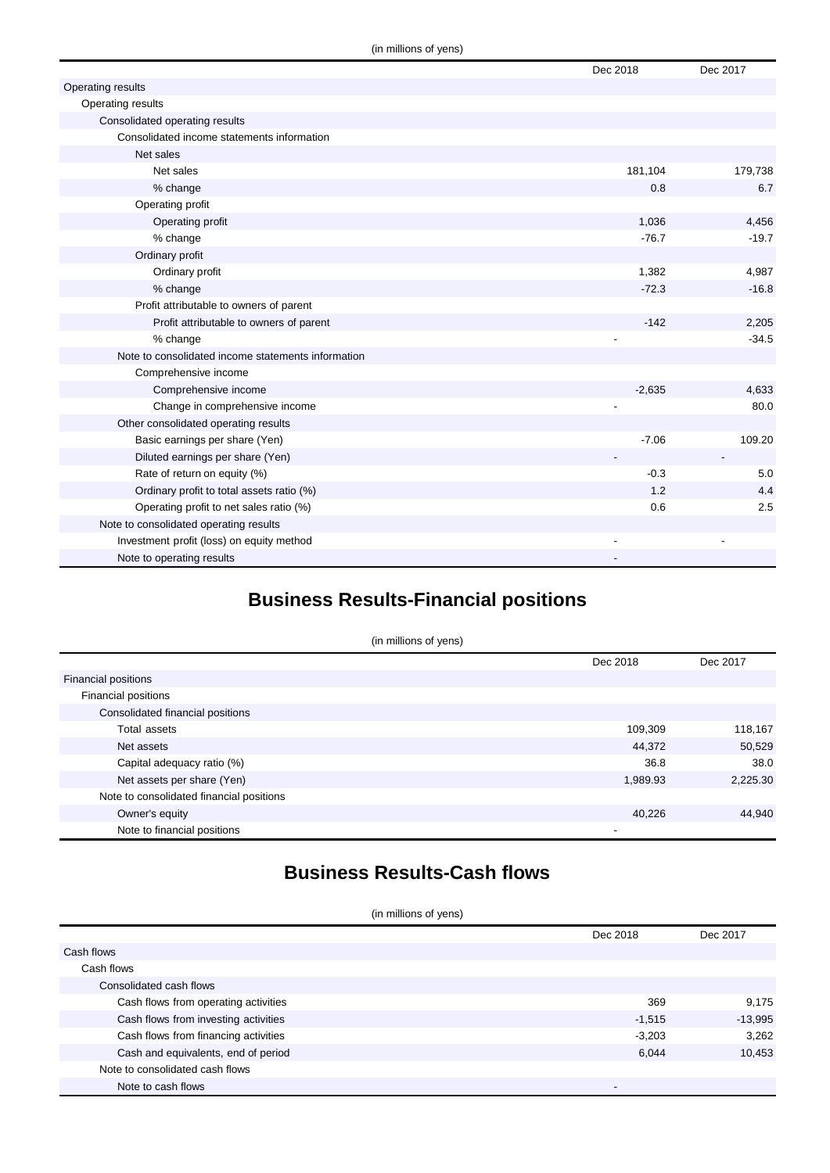|                                                    | Dec 2018 | Dec 2017 |
|----------------------------------------------------|----------|----------|
| Operating results                                  |          |          |
| Operating results                                  |          |          |
| Consolidated operating results                     |          |          |
| Consolidated income statements information         |          |          |
| Net sales                                          |          |          |
| Net sales                                          | 181,104  | 179,738  |
| % change                                           | 0.8      | 6.7      |
| Operating profit                                   |          |          |
| Operating profit                                   | 1,036    | 4,456    |
| % change                                           | $-76.7$  | $-19.7$  |
| Ordinary profit                                    |          |          |
| Ordinary profit                                    | 1,382    | 4,987    |
| % change                                           | $-72.3$  | $-16.8$  |
| Profit attributable to owners of parent            |          |          |
| Profit attributable to owners of parent            | $-142$   | 2,205    |
| % change                                           |          | $-34.5$  |
| Note to consolidated income statements information |          |          |
| Comprehensive income                               |          |          |
| Comprehensive income                               | $-2,635$ | 4,633    |
| Change in comprehensive income                     |          | 80.0     |
| Other consolidated operating results               |          |          |
| Basic earnings per share (Yen)                     | $-7.06$  | 109.20   |
| Diluted earnings per share (Yen)                   |          |          |
| Rate of return on equity (%)                       | $-0.3$   | 5.0      |
| Ordinary profit to total assets ratio (%)          | 1.2      | 4.4      |
| Operating profit to net sales ratio (%)            | 0.6      | 2.5      |
| Note to consolidated operating results             |          |          |
| Investment profit (loss) on equity method          |          |          |
| Note to operating results                          |          |          |

## **Business Results-Financial positions**

|                                          | (in millions of yens) |          |
|------------------------------------------|-----------------------|----------|
|                                          | Dec 2018              | Dec 2017 |
| <b>Financial positions</b>               |                       |          |
| Financial positions                      |                       |          |
| Consolidated financial positions         |                       |          |
| Total assets                             | 109,309               | 118,167  |
| Net assets                               | 44,372                | 50,529   |
| Capital adequacy ratio (%)               | 36.8                  | 38.0     |
| Net assets per share (Yen)               | 1,989.93              | 2,225.30 |
| Note to consolidated financial positions |                       |          |
| Owner's equity                           | 40,226                | 44,940   |
| Note to financial positions              | -                     |          |

### **Business Results-Cash flows**

(in millions of yens)

|                                      | Dec 2018 | Dec 2017  |
|--------------------------------------|----------|-----------|
| Cash flows                           |          |           |
| Cash flows                           |          |           |
| Consolidated cash flows              |          |           |
| Cash flows from operating activities | 369      | 9,175     |
| Cash flows from investing activities | $-1.515$ | $-13,995$ |
| Cash flows from financing activities | $-3,203$ | 3,262     |
| Cash and equivalents, end of period  | 6.044    | 10,453    |
| Note to consolidated cash flows      |          |           |
| Note to cash flows                   |          |           |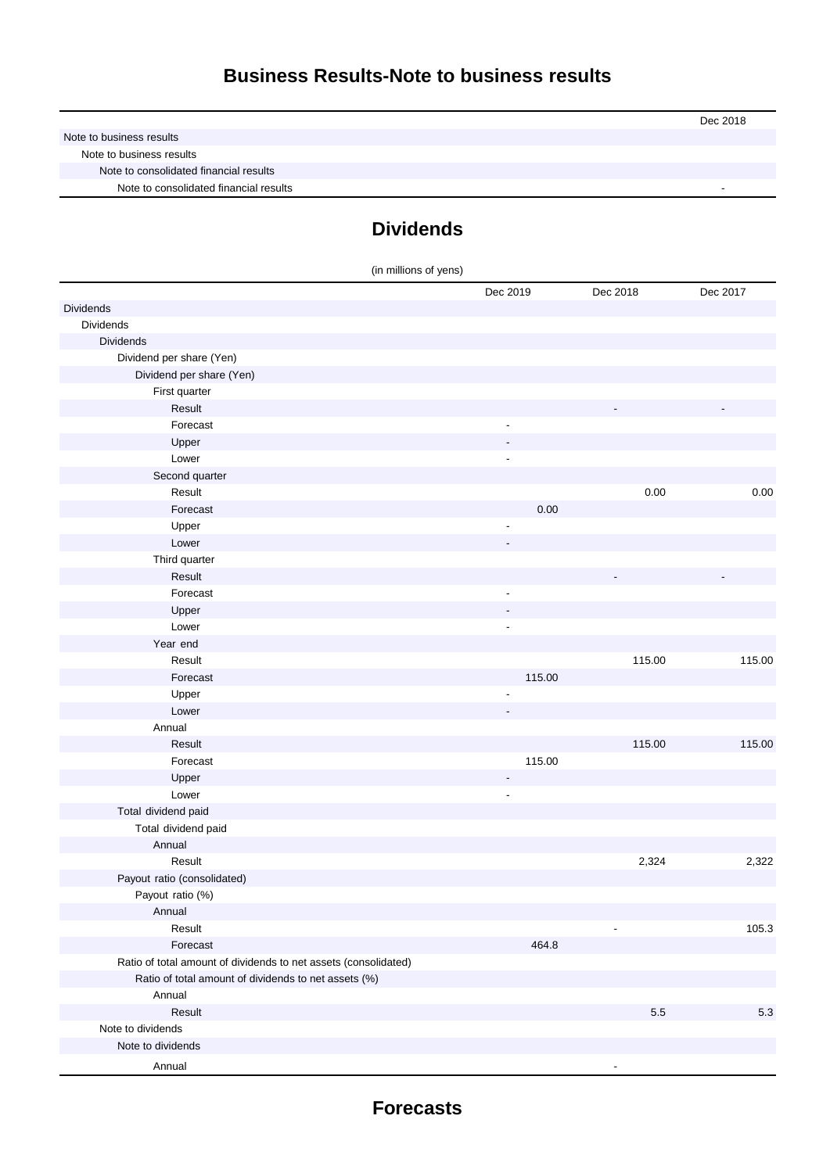|                                        | Dec 2018 |
|----------------------------------------|----------|
| Note to business results               |          |
| Note to business results               |          |
| Note to consolidated financial results |          |
| Note to consolidated financial results |          |

# **Dividends**

| (in millions of yens)                                           |                          |          |          |
|-----------------------------------------------------------------|--------------------------|----------|----------|
|                                                                 | Dec 2019                 | Dec 2018 | Dec 2017 |
| <b>Dividends</b>                                                |                          |          |          |
| Dividends                                                       |                          |          |          |
| <b>Dividends</b>                                                |                          |          |          |
| Dividend per share (Yen)                                        |                          |          |          |
| Dividend per share (Yen)                                        |                          |          |          |
| First quarter                                                   |                          |          |          |
| Result                                                          |                          |          |          |
| Forecast                                                        | $\overline{\phantom{a}}$ |          |          |
| Upper                                                           |                          |          |          |
| Lower                                                           |                          |          |          |
| Second quarter                                                  |                          |          |          |
| Result                                                          |                          | 0.00     | 0.00     |
| Forecast                                                        | 0.00                     |          |          |
| Upper                                                           |                          |          |          |
| Lower                                                           |                          |          |          |
| Third quarter                                                   |                          |          |          |
| Result                                                          |                          |          |          |
| Forecast                                                        | $\overline{\phantom{a}}$ |          |          |
| Upper                                                           |                          |          |          |
| Lower                                                           | $\overline{a}$           |          |          |
| Year end                                                        |                          |          |          |
| Result                                                          |                          | 115.00   | 115.00   |
| Forecast                                                        | 115.00                   |          |          |
| Upper                                                           |                          |          |          |
| Lower                                                           |                          |          |          |
| Annual                                                          |                          |          |          |
| Result                                                          |                          | 115.00   | 115.00   |
| Forecast                                                        | 115.00                   |          |          |
| Upper                                                           | ۰                        |          |          |
| Lower                                                           | $\overline{\phantom{a}}$ |          |          |
| Total dividend paid                                             |                          |          |          |
| Total dividend paid                                             |                          |          |          |
| Annual                                                          |                          |          |          |
| Result                                                          |                          | 2,324    | 2,322    |
| Payout ratio (consolidated)                                     |                          |          |          |
| Payout ratio (%)                                                |                          |          |          |
| Annual                                                          |                          |          |          |
| Result                                                          |                          |          | 105.3    |
| Forecast                                                        | 464.8                    |          |          |
| Ratio of total amount of dividends to net assets (consolidated) |                          |          |          |
| Ratio of total amount of dividends to net assets (%)            |                          |          |          |
| Annual                                                          |                          |          |          |
| Result                                                          |                          | $5.5\,$  | 5.3      |
| Note to dividends                                               |                          |          |          |
| Note to dividends                                               |                          |          |          |
| Annual                                                          |                          |          |          |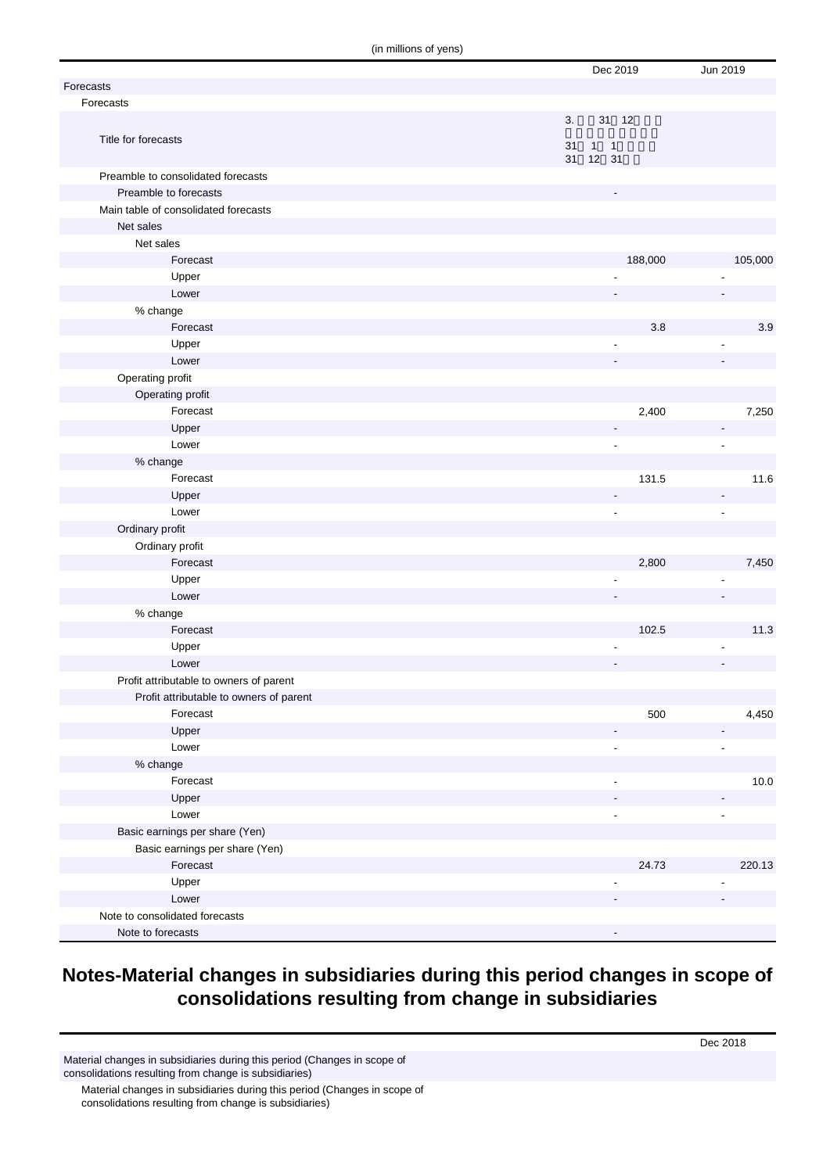(in millions of yens)

|                                         |    | Dec 2019                        | Jun 2019       |
|-----------------------------------------|----|---------------------------------|----------------|
| Forecasts                               |    |                                 |                |
| Forecasts                               |    |                                 |                |
|                                         | 3. | 31 12                           |                |
| Title for forecasts                     |    |                                 |                |
|                                         | 31 | 1<br>$\overline{1}$<br>31 12 31 |                |
| Preamble to consolidated forecasts      |    |                                 |                |
| Preamble to forecasts                   |    |                                 |                |
| Main table of consolidated forecasts    |    |                                 |                |
| Net sales                               |    |                                 |                |
| Net sales                               |    |                                 |                |
| Forecast                                |    | 188,000                         | 105,000        |
| Upper                                   |    |                                 |                |
| Lower                                   |    |                                 |                |
| % change                                |    |                                 |                |
| Forecast                                |    | $3.8\,$                         | 3.9            |
| Upper                                   |    | $\overline{\phantom{a}}$        | ÷,             |
| Lower                                   |    |                                 |                |
| Operating profit                        |    |                                 |                |
| Operating profit                        |    |                                 |                |
| Forecast                                |    | 2,400                           | 7,250          |
| Upper                                   |    |                                 | ٠              |
| Lower                                   |    | $\blacksquare$                  | $\overline{a}$ |
| % change                                |    |                                 |                |
| Forecast                                |    | 131.5                           | 11.6           |
| Upper                                   |    |                                 |                |
| Lower                                   |    | $\overline{\phantom{a}}$        | $\overline{a}$ |
| Ordinary profit                         |    |                                 |                |
| Ordinary profit                         |    |                                 |                |
| Forecast                                |    | 2,800                           | 7,450          |
| Upper                                   |    |                                 |                |
| Lower                                   |    |                                 |                |
| % change                                |    |                                 |                |
| Forecast                                |    | 102.5                           | 11.3           |
| Upper                                   |    |                                 |                |
| Lower                                   |    |                                 |                |
| Profit attributable to owners of parent |    |                                 |                |
| Profit attributable to owners of parent |    |                                 |                |
| Forecast                                |    | 500                             | 4,450          |
| Upper                                   |    |                                 |                |
| Lower                                   |    | $\overline{a}$                  | Ĭ.             |
| % change                                |    |                                 |                |
| Forecast                                |    |                                 | 10.0           |
| Upper                                   |    |                                 |                |
| Lower                                   |    |                                 |                |
| Basic earnings per share (Yen)          |    |                                 |                |
| Basic earnings per share (Yen)          |    |                                 |                |
| Forecast                                |    | 24.73                           | 220.13         |
| Upper                                   |    |                                 |                |
| Lower                                   |    |                                 |                |
| Note to consolidated forecasts          |    |                                 |                |
| Note to forecasts                       |    |                                 |                |

#### **Notes-Material changes in subsidiaries during this period changes in scope of consolidations resulting from change in subsidiaries**

Material changes in subsidiaries during this period (Changes in scope of consolidations resulting from change is subsidiaries)

Material changes in subsidiaries during this period (Changes in scope of consolidations resulting from change is subsidiaries)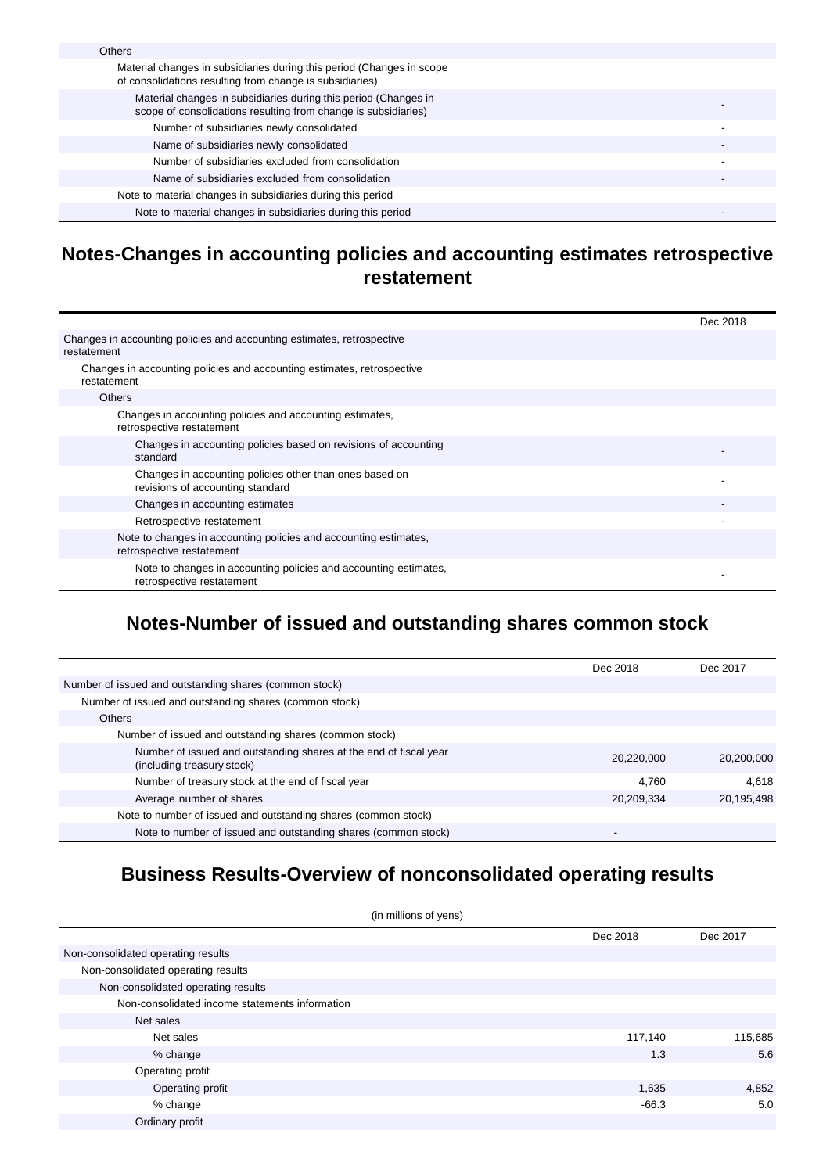| <b>Others</b>                                                                                                                     |  |
|-----------------------------------------------------------------------------------------------------------------------------------|--|
| Material changes in subsidiaries during this period (Changes in scope<br>of consolidations resulting from change is subsidiaries) |  |
| Material changes in subsidiaries during this period (Changes in<br>scope of consolidations resulting from change is subsidiaries) |  |
| Number of subsidiaries newly consolidated                                                                                         |  |
| Name of subsidiaries newly consolidated                                                                                           |  |
| Number of subsidiaries excluded from consolidation                                                                                |  |
| Name of subsidiaries excluded from consolidation                                                                                  |  |
| Note to material changes in subsidiaries during this period                                                                       |  |
| Note to material changes in subsidiaries during this period                                                                       |  |

#### **Notes-Changes in accounting policies and accounting estimates retrospective restatement**

|                                                                                               | Dec 2018 |
|-----------------------------------------------------------------------------------------------|----------|
| Changes in accounting policies and accounting estimates, retrospective<br>restatement         |          |
| Changes in accounting policies and accounting estimates, retrospective<br>restatement         |          |
| <b>Others</b>                                                                                 |          |
| Changes in accounting policies and accounting estimates,<br>retrospective restatement         |          |
| Changes in accounting policies based on revisions of accounting<br>standard                   |          |
| Changes in accounting policies other than ones based on<br>revisions of accounting standard   |          |
| Changes in accounting estimates                                                               |          |
| Retrospective restatement                                                                     |          |
| Note to changes in accounting policies and accounting estimates,<br>retrospective restatement |          |
| Note to changes in accounting policies and accounting estimates,<br>retrospective restatement |          |

## **Notes-Number of issued and outstanding shares common stock**

|                                                                                                 | Dec 2018   | Dec 2017   |
|-------------------------------------------------------------------------------------------------|------------|------------|
| Number of issued and outstanding shares (common stock)                                          |            |            |
| Number of issued and outstanding shares (common stock)                                          |            |            |
| <b>Others</b>                                                                                   |            |            |
| Number of issued and outstanding shares (common stock)                                          |            |            |
| Number of issued and outstanding shares at the end of fiscal year<br>(including treasury stock) | 20,220,000 | 20,200,000 |
| Number of treasury stock at the end of fiscal year                                              | 4.760      | 4.618      |
| Average number of shares                                                                        | 20,209,334 | 20,195,498 |
| Note to number of issued and outstanding shares (common stock)                                  |            |            |
| Note to number of issued and outstanding shares (common stock)                                  | $\,$       |            |

#### **Business Results-Overview of nonconsolidated operating results**

| (in millions of yens)                          |          |          |  |
|------------------------------------------------|----------|----------|--|
|                                                | Dec 2018 | Dec 2017 |  |
| Non-consolidated operating results             |          |          |  |
| Non-consolidated operating results             |          |          |  |
| Non-consolidated operating results             |          |          |  |
| Non-consolidated income statements information |          |          |  |
| Net sales                                      |          |          |  |
| Net sales                                      | 117,140  | 115,685  |  |
| % change                                       | 1.3      | 5.6      |  |
| Operating profit                               |          |          |  |
| Operating profit                               | 1,635    | 4,852    |  |
| % change                                       | $-66.3$  | 5.0      |  |
| Ordinary profit                                |          |          |  |